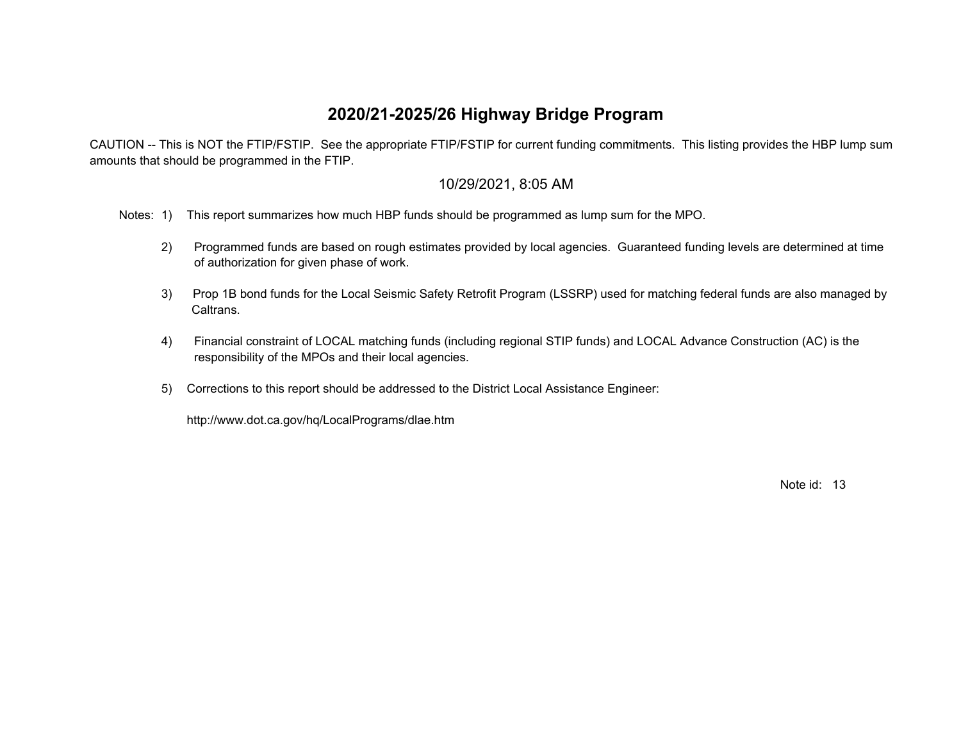## **2020/21-2025/26 Highway Bridge Program**

 CAUTION -- This is NOT the FTIP/FSTIP. See the appropriate FTIP/FSTIP for current funding commitments. This listing provides the HBP lump sum amounts that should be programmed in the FTIP.

## 10/29/2021, 8:05 AM

Notes: 1) This report summarizes how much HBP funds should be programmed as lump sum for the MPO.

- 2) Programmed funds are based on rough estimates provided by local agencies. Guaranteed funding levels are determined at time of authorization for given phase of work.
- 3) Prop 1B bond funds for the Local Seismic Safety Retrofit Program (LSSRP) used for matching federal funds are also managed by Caltrans.
- 4) Financial constraint of LOCAL matching funds (including regional STIP funds) and LOCAL Advance Construction (AC) is the responsibility of the MPOs and their local agencies.
- 5) Corrections to this report should be addressed to the District Local Assistance Engineer:

http://www.dot.ca.gov/hq/LocalPrograms/dlae.htm

Note id: 13